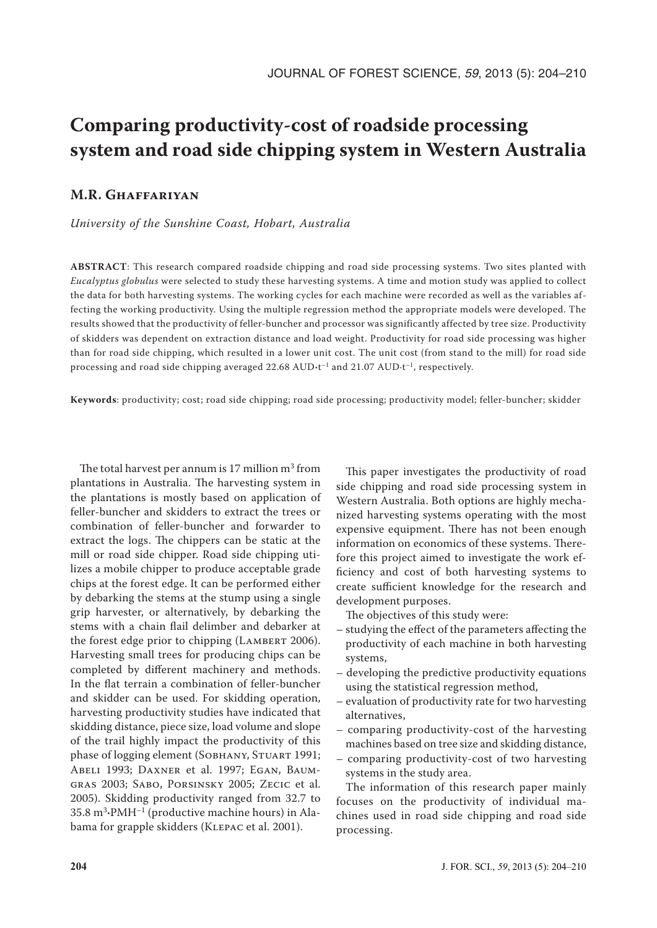# **Comparing productivity-cost of roadside processing system and road side chipping system in Western Australia**

# **M.R. Ghaffariyan**

*University of the Sunshine Coast, Hobart, Australia*

**ABSTRACT**: This research compared roadside chipping and road side processing systems. Two sites planted with *Eucalyptus globulus* were selected to study these harvesting systems. A time and motion study was applied to collect the data for both harvesting systems. The working cycles for each machine were recorded as well as the variables affecting the working productivity. Using the multiple regression method the appropriate models were developed. The results showed that the productivity of feller-buncher and processor was significantly affected by tree size. Productivity of skidders was dependent on extraction distance and load weight. Productivity for road side processing was higher than for road side chipping, which resulted in a lower unit cost. The unit cost (from stand to the mill) for road side processing and road side chipping averaged 22.68 AUD**·**t–1 and 21.07 AUD·t–1, respectively.

**Keywords**: productivity; cost; road side chipping; road side processing; productivity model; feller-buncher; skidder

The total harvest per annum is 17 million  $m^3$  from plantations in Australia. The harvesting system in the plantations is mostly based on application of feller-buncher and skidders to extract the trees or combination of feller-buncher and forwarder to extract the logs. The chippers can be static at the mill or road side chipper. Road side chipping utilizes a mobile chipper to produce acceptable grade chips at the forest edge. It can be performed either by debarking the stems at the stump using a single grip harvester, or alternatively, by debarking the stems with a chain flail delimber and debarker at the forest edge prior to chipping (LAMBERT 2006). Harvesting small trees for producing chips can be completed by different machinery and methods. In the flat terrain a combination of feller-buncher and skidder can be used. For skidding operation, harvesting productivity studies have indicated that skidding distance, piece size, load volume and slope of the trail highly impact the productivity of this phase of logging element (SOBHANY, STUART 1991; Abeli 1993; Daxner et al. 1997; Egan, Baumgras 2003; Sabo, Porsinsky 2005; Zecic et al. 2005). Skidding productivity ranged from 32.7 to 35.8 m<sup>3</sup> **·**PMH–1 (productive machine hours) in Alabama for grapple skidders (KLEPAC et al. 2001).

This paper investigates the productivity of road side chipping and road side processing system in Western Australia. Both options are highly mechanized harvesting systems operating with the most expensive equipment. There has not been enough information on economics of these systems. Therefore this project aimed to investigate the work efficiency and cost of both harvesting systems to create sufficient knowledge for the research and development purposes.

The objectives of this study were:

- studying the effect of the parameters affecting the productivity of each machine in both harvesting systems,
- developing the predictive productivity equations using the statistical regression method,
- evaluation of productivity rate for two harvesting alternatives,
- comparing productivity-cost of the harvesting machines based on tree size and skidding distance,
- comparing productivity-cost of two harvesting systems in the study area.

The information of this research paper mainly focuses on the productivity of individual machines used in road side chipping and road side processing.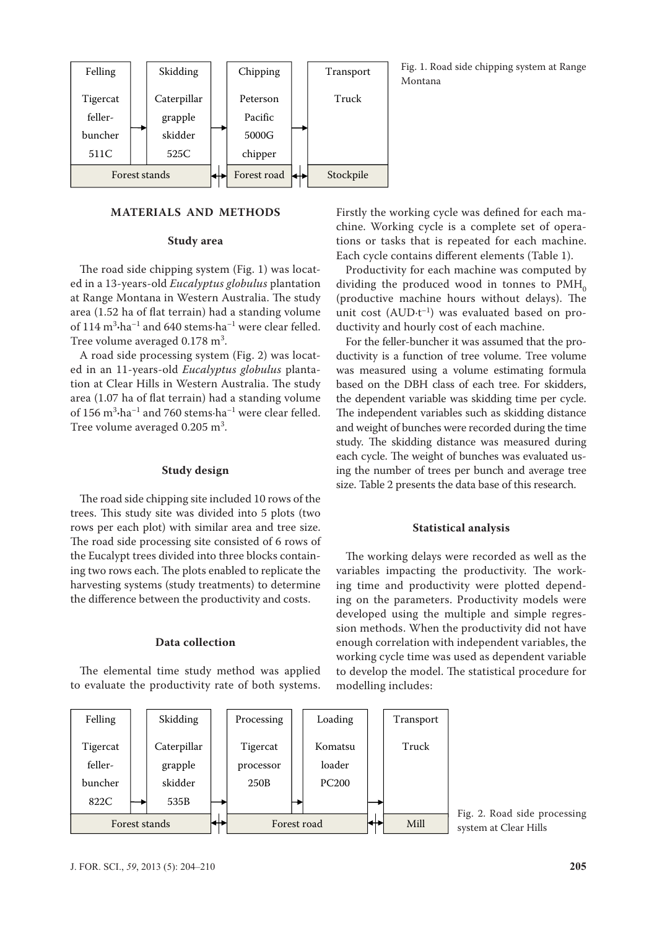

## **MATERIALS AND METHODS**

#### **Study area**

The road side chipping system (Fig. 1) was located in a 13-years-old *Eucalyptus globulus* plantation at Range Montana in Western Australia. The study area (1.52 ha of flat terrain) had a standing volume of 114 m<sup>3</sup> **·**ha–1 and 640 stems·ha–1 were clear felled. Tree volume averaged  $0.178 \text{ m}^3$ .

A road side processing system (Fig. 2) was located in an 11-years-old *Eucalyptus globulus* plantation at Clear Hills in Western Australia. The study area (1.07 ha of flat terrain) had a standing volume of 156 m<sup>3</sup> **·**ha–1 and 760 stems·ha–1 were clear felled. Tree volume averaged  $0.205 \text{ m}^3$ .

#### **Study design**

The road side chipping site included 10 rows of the trees. This study site was divided into 5 plots (two rows per each plot) with similar area and tree size. The road side processing site consisted of 6 rows of the Eucalypt trees divided into three blocks containing two rows each. The plots enabled to replicate the harvesting systems (study treatments) to determine the difference between the productivity and costs.

#### **Data collection**

The elemental time study method was applied to evaluate the productivity rate of both systems.



Fig. 1. Road side chipping system at Range Montana

Firstly the working cycle was defined for each machine. Working cycle is a complete set of operations or tasks that is repeated for each machine. Each cycle contains different elements (Table 1).

Productivity for each machine was computed by dividing the produced wood in tonnes to  $PMH<sub>o</sub>$ (productive machine hours without delays). The unit cost  $(AUD \cdot t^{-1})$  was evaluated based on productivity and hourly cost of each machine.

For the feller-buncher it was assumed that the productivity is a function of tree volume. Tree volume was measured using a volume estimating formula based on the DBH class of each tree. For skidders, the dependent variable was skidding time per cycle. The independent variables such as skidding distance and weight of bunches were recorded during the time study. The skidding distance was measured during each cycle. The weight of bunches was evaluated using the number of trees per bunch and average tree size. Table 2 presents the data base of this research.

#### **Statistical analysis**

The working delays were recorded as well as the variables impacting the productivity. The working time and productivity were plotted depending on the parameters. Productivity models were developed using the multiple and simple regression methods. When the productivity did not have enough correlation with independent variables, the working cycle time was used as dependent variable to develop the model. The statistical procedure for modelling includes:

Fig. 2. Road side processing system at Clear Hills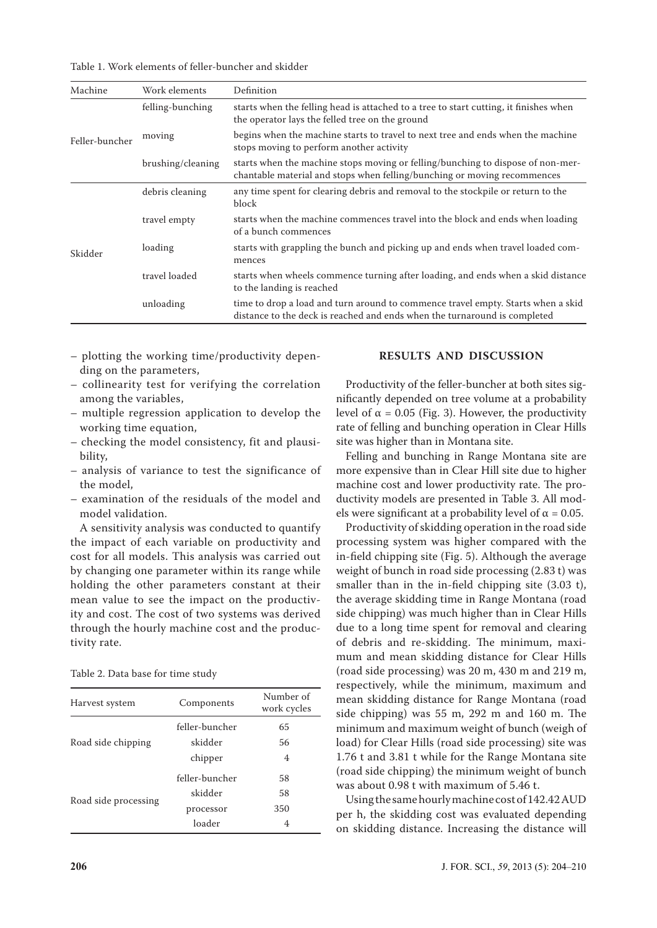Table 1. Work elements of feller-buncher and skidder

| Machine        | Work elements     | Definition                                                                                                                                                    |
|----------------|-------------------|---------------------------------------------------------------------------------------------------------------------------------------------------------------|
| Feller-buncher | felling-bunching  | starts when the felling head is attached to a tree to start cutting, it finishes when<br>the operator lays the felled tree on the ground                      |
|                | moving            | begins when the machine starts to travel to next tree and ends when the machine<br>stops moving to perform another activity                                   |
|                | brushing/cleaning | starts when the machine stops moving or felling/bunching to dispose of non-mer-<br>chantable material and stops when felling/bunching or moving recommences   |
| Skidder        | debris cleaning   | any time spent for clearing debris and removal to the stockpile or return to the<br>block                                                                     |
|                | travel empty      | starts when the machine commences travel into the block and ends when loading<br>of a bunch commences                                                         |
|                | loading           | starts with grappling the bunch and picking up and ends when travel loaded com-<br>mences                                                                     |
|                | travel loaded     | starts when wheels commence turning after loading, and ends when a skid distance<br>to the landing is reached                                                 |
|                | unloading         | time to drop a load and turn around to commence travel empty. Starts when a skid<br>distance to the deck is reached and ends when the turnaround is completed |

- plotting the working time/productivity depending on the parameters,
- collinearity test for verifying the correlation among the variables,
- multiple regression application to develop the working time equation,
- checking the model consistency, fit and plausibility,
- analysis of variance to test the significance of the model,
- examination of the residuals of the model and model validation.

A sensitivity analysis was conducted to quantify the impact of each variable on productivity and cost for all models. This analysis was carried out by changing one parameter within its range while holding the other parameters constant at their mean value to see the impact on the productivity and cost. The cost of two systems was derived through the hourly machine cost and the productivity rate.

| Harvest system       | Components     | Number of<br>work cycles |
|----------------------|----------------|--------------------------|
|                      | feller-buncher | 65                       |
| Road side chipping   | skidder        | 56                       |
|                      | chipper        | 4                        |
|                      | feller-buncher | 58                       |
|                      | skidder        | 58                       |
| Road side processing | processor      | 350                      |
|                      | loader         | 4                        |

#### **RESULTS AND DISCUSSION**

Productivity of the feller-buncher at both sites significantly depended on tree volume at a probability level of α = 0.05 (Fig. 3). However, the productivity rate of felling and bunching operation in Clear Hills site was higher than in Montana site.

Felling and bunching in Range Montana site are more expensive than in Clear Hill site due to higher machine cost and lower productivity rate. The productivity models are presented in Table 3. All models were significant at a probability level of  $\alpha = 0.05$ .

Productivity of skidding operation in the road side processing system was higher compared with the in-field chipping site (Fig. 5). Although the average weight of bunch in road side processing (2.83 t) was smaller than in the in-field chipping site (3.03 t), the average skidding time in Range Montana (road side chipping) was much higher than in Clear Hills due to a long time spent for removal and clearing of debris and re-skidding. The minimum, maximum and mean skidding distance for Clear Hills (road side processing) was 20 m, 430 m and 219 m, respectively, while the minimum, maximum and mean skidding distance for Range Montana (road side chipping) was 55 m, 292 m and 160 m. The minimum and maximum weight of bunch (weigh of load) for Clear Hills (road side processing) site was 1.76 t and 3.81 t while for the Range Montana site (road side chipping) the minimum weight of bunch was about 0.98 t with maximum of 5.46 t.

Using the same hourly machine cost of 142.42 AUD per h, the skidding cost was evaluated depending on skidding distance. Increasing the distance will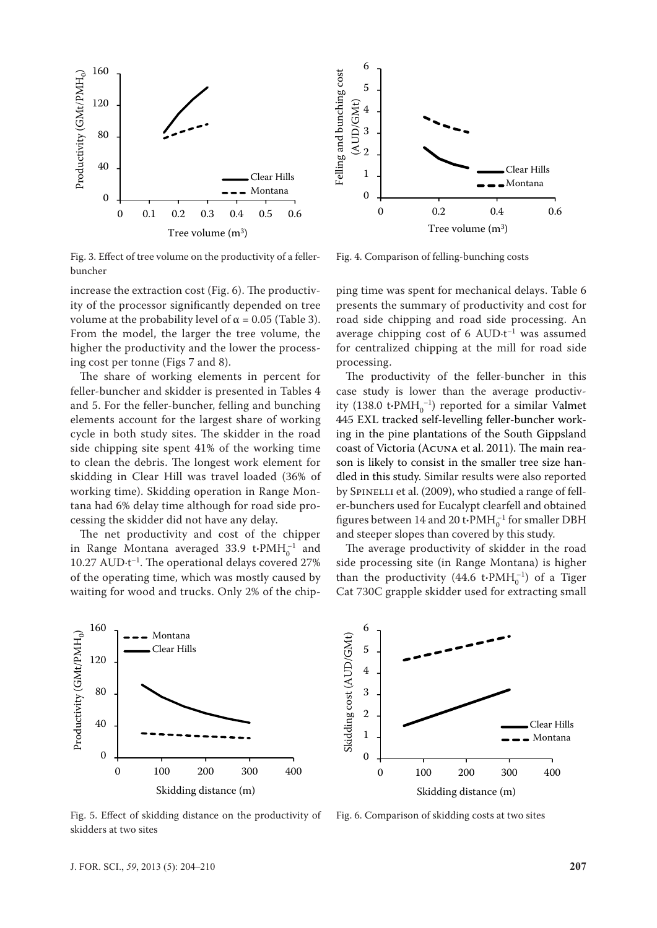

Fig. 3. Effect of tree volume on the productivity of a fellerbuncher

increase the extraction cost (Fig. 6). The productivity of the processor significantly depended on tree volume at the probability level of  $\alpha$  = 0.05 (Table 3). From the model, the larger the tree volume, the higher the productivity and the lower the process-2 ing cost per tonne (Figs 7 and 8). 1 Ferming and bunching and bunching costs<br>in the bunching control in the costs of the costs of the costs of the costs of the costs of the costs of the c<br>in the costs of the costs of the costs of the costs of the costs of the eas<br>f t<br>מ  $\overline{a}$ rig<br>bu<br>ind<br>Frodug<br>P

The share of working elements in percent for feller-buncher and skidder is presented in Tables 4 and 5. For the feller-buncher, felling and bunching elements account for the largest share of working cycle in both study sites. The skidder in the road side chipping site spent 41% of the working time to clean the debris. The longest work element for skidding in Clear Hill was travel loaded (36% of working time). Skidding operation in Range Mon-4 tana had 6% delay time although for road side processing the skidder did not have any delay. ide<br>Productivity<br>Production<br>Poduction rd o<br>ki wo<br>ar ces<br>In α<br>ki<br>in<br>in

The net productivity and cost of the chipper in Range Montana averaged  $33.9$  t $\cdot$ PMH $_0^{-1}$  and  $10.27$  AUD $\cdot$ t<sup>-1</sup>. The operational delays covered 27% of the operating time, which was mostly caused by waiting for wood and trucks. Only 2% of the chip-່ໄ<br>ດ



Fig. 5. Effect of skidding distance on the productivity of skidders at two sites

Fig. 4. Comparison of felling-bunching costs

for centralized chipping at the mill for road side road side chipping and road side processing. An ping time was spent for mechanical delays. Table 6 Pipipi<br>Production<br>foll presents the summary of productivity and cost for average chipping cost of 6 AUD $\cdot$ t<sup>-1</sup> was assumed processing.

coast of Victoria (Acuna et al. 2011). The main rea-0 The productivity of the feller-buncher in this case study is lower than the average productiv-445 EXL tracked self-levelling feller-buncher workity (138.0  $\text{t}$ **·PMH**<sub>0</sub><sup>-1</sup>) reported for a similar Valmet ing in the pine plantations of the South Gippsland son is likely to consist in the smaller tree size handled in this study. Similar results were also reported by SPINELLI et al. (2009), who studied a range of feller-bunchers used for Eucalypt clearfell and obtained figures between 14 and 20 t $\cdot$ PMH<sup> $-1$ </sup> for smaller DBH and steeper slopes than covered by this study.

The average productivity of skidder in the road side processing site (in Range Montana) is higher than the productivity  $(44.6 \text{ t} \cdot \text{PMH}_0^{-1})$  of a Tiger Cat 730C grapple skidder used for extracting small



Fig. 6. Comparison of skidding costs at two sites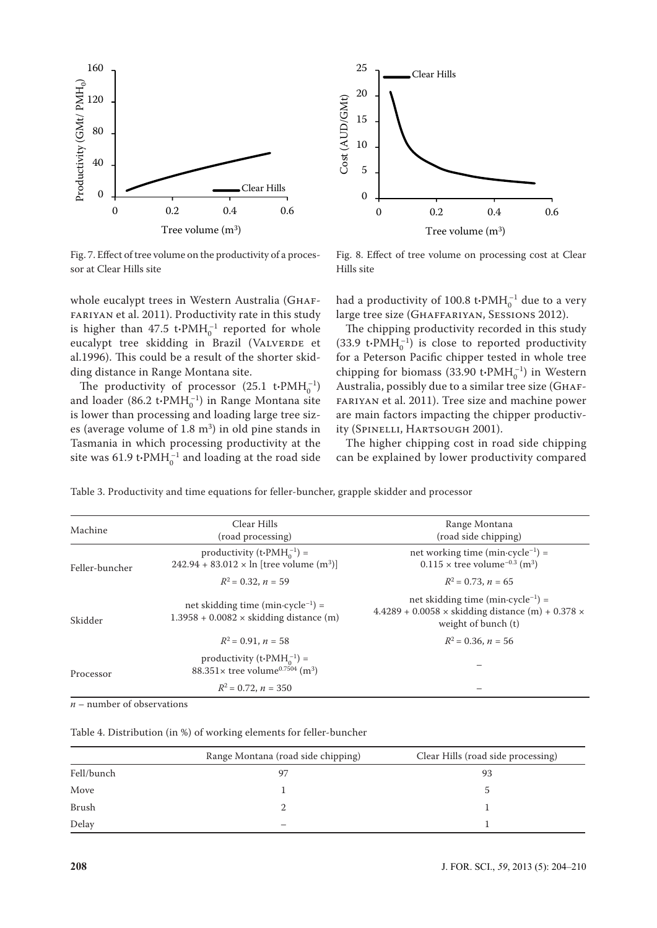

25 Clear Hills Fig.7 20 Cost (AUD/GMt) Cost (AUD/GMt) 15 10 5 0 0 0.2 0.4 0.6 Tree volume (m3)

Fig. 7. Effect of tree volume on the productivity of a processor at Clear Hills site

whole eucalypt trees in Western Australia (GHAFmore easily perfect in western riastrana (erritricum). is higher than  $47.5$  t $\cdot$ PMH $_0^{-1}$  reported for whole eucalypt tree skidding in Brazil (VALVERDE et al.1996). This could be a result of the shorter skid-10 ding distance in Range Montana site. Al<br>s l<br>ud<br>l.1<br>lin

The productivity of processor  $(25.1 \text{ t-PMH}_0^{-1})$ and loader (86.2 t·PMH<sub>0</sub><sup>-1</sup>) in Range Montana site is lower than processing and loading large tree sizes (average volume of  $1.8 \text{ m}^3$ ) in old pine stands in Tasmania in which processing productivity at the site was  $61.9 \text{ t-PMH}_0^{-1}$  and loading at the road side

Hills site Fig. 8. Effect of tree volume on processing cost at Clear

had a productivity of  $100.8 \text{ t} \cdot \text{PMH}_0^{-1}$  due to a very large tree size (GHAFFARIYAN, SESSIONS 2012).

The chipping productivity recorded in this study  $(33.9 \text{ t-PMH}_0^{-1})$  is close to reported productivity for a Peterson Pacific chipper tested in whole tree chipping for biomass  $(33.90 \text{ t-PMH}_0^{-1})$  in Western Australia, possibly due to a similar tree size (Ghaffariyan et al. 2011). Tree size and machine power are main factors impacting the chipper productivity (Spinelli, Hartsough 2001).

The higher chipping cost in road side chipping can be explained by lower productivity compared

Table 3. Productivity and time equations for feller-buncher, grapple skidder and processor

| Machine                               | Clear Hills<br>(road processing)                                                                             | Range Montana<br>(road side chipping)                                                                                                            |  |
|---------------------------------------|--------------------------------------------------------------------------------------------------------------|--------------------------------------------------------------------------------------------------------------------------------------------------|--|
| Feller-buncher                        | productivity (t $\cdot$ PMH $_0^{-1}$ ) =<br>$242.94 + 83.012 \times \ln$ [tree volume (m <sup>3</sup> )]    | net working time (min $\cdot$ cycle <sup>-1</sup> ) =<br>$0.115 \times$ tree volume <sup>-0.3</sup> (m <sup>3</sup> )                            |  |
|                                       | $R^2 = 0.32$ , $n = 59$                                                                                      | $R^2 = 0.73$ , $n = 65$                                                                                                                          |  |
| Skidder                               | net skidding time (min $\cdot$ cycle <sup>-1</sup> ) =<br>$1.3958 + 0.0082 \times$ skidding distance (m)     | net skidding time (min $\cdot$ cycle <sup>-1</sup> ) =<br>4.4289 + 0.0058 $\times$ skidding distance (m) + 0.378 $\times$<br>weight of bunch (t) |  |
|                                       | $R^2 = 0.91, n = 58$                                                                                         | $R^2 = 0.36$ , $n = 56$                                                                                                                          |  |
|                                       | productivity (t $\cdot$ PMH $_0^{-1}$ ) =<br>88.351 $\times$ tree volume <sup>0.7504</sup> (m <sup>3</sup> ) |                                                                                                                                                  |  |
| Processor<br>$R^2 = 0.72$ , $n = 350$ |                                                                                                              |                                                                                                                                                  |  |

*n* – number of observations

|            | Range Montana (road side chipping) | Clear Hills (road side processing) |
|------------|------------------------------------|------------------------------------|
| Fell/bunch |                                    | 93                                 |
| Move       |                                    |                                    |
| Brush      |                                    |                                    |
| Delay      |                                    |                                    |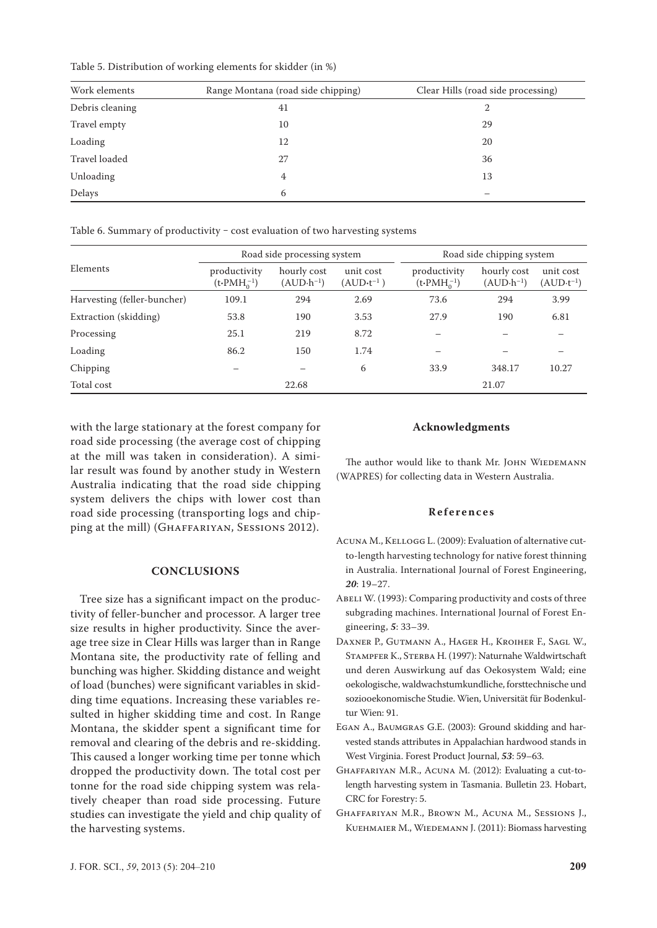Table 5. Distribution of working elements for skidder (in %)

| Work elements   | Range Montana (road side chipping) | Clear Hills (road side processing) |  |  |
|-----------------|------------------------------------|------------------------------------|--|--|
| Debris cleaning | 41                                 | 2                                  |  |  |
| Travel empty    | 10                                 | 29                                 |  |  |
| Loading         | 12                                 | 20                                 |  |  |
| Travel loaded   | 27                                 | 36                                 |  |  |
| Unloading       | 4                                  | 13                                 |  |  |
| Delays          | 6                                  |                                    |  |  |

Table 6. Summary of productivity - cost evaluation of two harvesting systems

|                             | Road side processing system           |                                     |                                   | Road side chipping system             |                            |                                   |
|-----------------------------|---------------------------------------|-------------------------------------|-----------------------------------|---------------------------------------|----------------------------|-----------------------------------|
| Elements                    | productivity<br>$(t\cdot PMH_0^{-1})$ | hourly cost<br>$(AUD \cdot h^{-1})$ | unit cost<br>$(AUD \cdot t^{-1})$ | productivity<br>$(t\cdot PMH_0^{-1})$ | hourly cost<br>$(AUD·h-1)$ | unit cost<br>$(AUD \cdot t^{-1})$ |
| Harvesting (feller-buncher) | 109.1                                 | 294                                 | 2.69                              | 73.6                                  | 294                        | 3.99                              |
| Extraction (skidding)       | 53.8                                  | 190                                 | 3.53                              | 27.9                                  | 190                        | 6.81                              |
| Processing                  | 25.1                                  | 219                                 | 8.72                              |                                       |                            |                                   |
| Loading                     | 86.2                                  | 150                                 | 1.74                              |                                       |                            |                                   |
| Chipping                    |                                       |                                     | 6                                 | 33.9                                  | 348.17                     | 10.27                             |
| Total cost                  |                                       | 22.68                               |                                   |                                       | 21.07                      |                                   |

with the large stationary at the forest company for road side processing (the average cost of chipping at the mill was taken in consideration). A similar result was found by another study in Western Australia indicating that the road side chipping system delivers the chips with lower cost than road side processing (transporting logs and chipping at the mill) (Ghaffariyan, Sessions 2012).

## **CONCLUSIONS**

Tree size has a significant impact on the productivity of feller-buncher and processor. A larger tree size results in higher productivity. Since the average tree size in Clear Hills was larger than in Range Montana site, the productivity rate of felling and bunching was higher. Skidding distance and weight of load (bunches) were significant variables in skidding time equations. Increasing these variables resulted in higher skidding time and cost. In Range Montana, the skidder spent a significant time for removal and clearing of the debris and re-skidding. This caused a longer working time per tonne which dropped the productivity down. The total cost per tonne for the road side chipping system was relatively cheaper than road side processing. Future studies can investigate the yield and chip quality of the harvesting systems.

#### **Acknowledgments**

The author would like to thank Mr. JOHN WIEDEMANN (WAPRES) for collecting data in Western Australia.

# **References**

- Acuna M., Kellogg L. (2009): Evaluation of alternative cutto-length harvesting technology for native forest thinning in Australia. International Journal of Forest Engineering, *20*: 19–27.
- ABELI W. (1993): Comparing productivity and costs of three subgrading machines. International Journal of Forest Engineering, *5*: 33–39.
- Daxner P., Gutmann A., Hager H., Kroiher F., Sagl W., Stampfer K., Sterba H. (1997): Naturnahe Waldwirtschaft und deren Auswirkung auf das Oekosystem Wald; eine oekologische, waldwachstumkundliche, forsttechnische und soziooekonomische Studie. Wien, Universität für Bodenkultur Wien: 91.
- Egan A., Baumgras G.E. (2003): Ground skidding and harvested stands attributes in Appalachian hardwood stands in West Virginia. Forest Product Journal, *53*: 59–63.
- Ghaffariyan M.R., Acuna M. (2012): Evaluating a cut-tolength harvesting system in Tasmania. Bulletin 23. Hobart, CRC for Forestry: 5.
- Ghaffariyan M.R., Brown M., Acuna M., Sessions J., KUEHMAIER M., WIEDEMANN J. (2011): Biomass harvesting